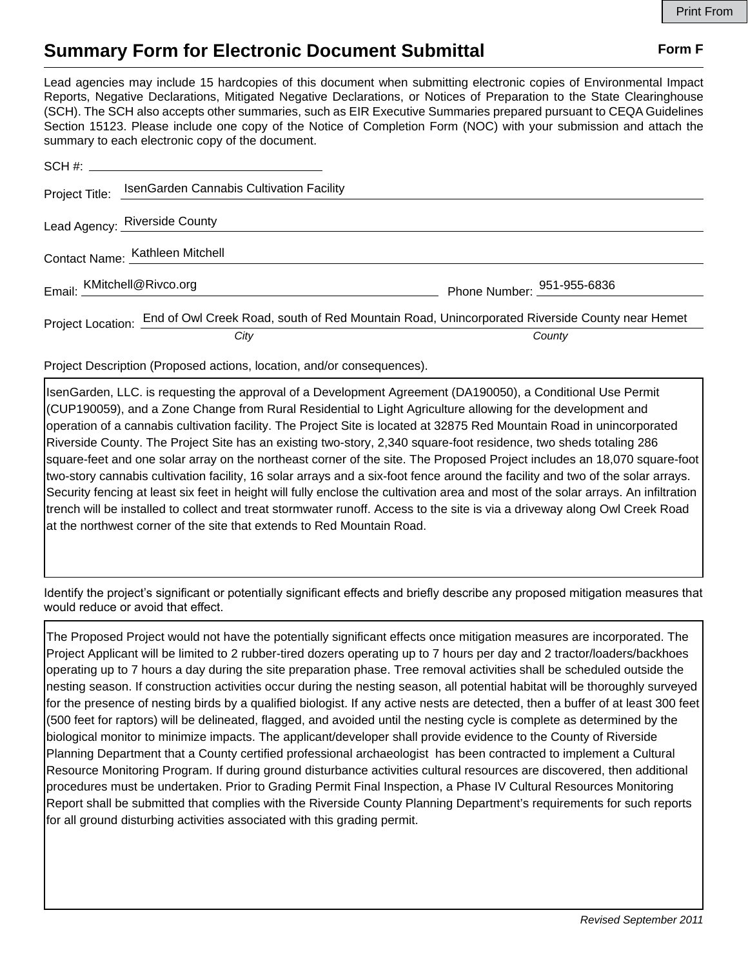## **Summary Form for Electronic Document Submittal Form F Form F**

Lead agencies may include 15 hardcopies of this document when submitting electronic copies of Environmental Impact Reports, Negative Declarations, Mitigated Negative Declarations, or Notices of Preparation to the State Clearinghouse (SCH). The SCH also accepts other summaries, such as EIR Executive Summaries prepared pursuant to CEQA Guidelines Section 15123. Please include one copy of the Notice of Completion Form (NOC) with your submission and attach the summary to each electronic copy of the document.

| Project Title:                  | IsenGarden Cannabis Cultivation Facility                                                      |                            |
|---------------------------------|-----------------------------------------------------------------------------------------------|----------------------------|
|                                 | Lead Agency: Riverside County                                                                 |                            |
| Contact Name: Kathleen Mitchell |                                                                                               |                            |
| Email: KMitchell@Rivco.org      |                                                                                               | Phone Number: 951-955-6836 |
| Project Location: _             | End of Owl Creek Road, south of Red Mountain Road, Unincorporated Riverside County near Hemet |                            |
|                                 | City                                                                                          | County                     |

Project Description (Proposed actions, location, and/or consequences).

IsenGarden, LLC. is requesting the approval of a Development Agreement (DA190050), a Conditional Use Permit (CUP190059), and a Zone Change from Rural Residential to Light Agriculture allowing for the development and operation of a cannabis cultivation facility. The Project Site is located at 32875 Red Mountain Road in unincorporated Riverside County. The Project Site has an existing two-story, 2,340 square-foot residence, two sheds totaling 286 square-feet and one solar array on the northeast corner of the site. The Proposed Project includes an 18,070 square-foot two-story cannabis cultivation facility, 16 solar arrays and a six-foot fence around the facility and two of the solar arrays. Security fencing at least six feet in height will fully enclose the cultivation area and most of the solar arrays. An infiltration trench will be installed to collect and treat stormwater runoff. Access to the site is via a driveway along Owl Creek Road at the northwest corner of the site that extends to Red Mountain Road.

Identify the project's significant or potentially significant effects and briefly describe any proposed mitigation measures that would reduce or avoid that effect.

The Proposed Project would not have the potentially significant effects once mitigation measures are incorporated. The Project Applicant will be limited to 2 rubber-tired dozers operating up to 7 hours per day and 2 tractor/loaders/backhoes operating up to 7 hours a day during the site preparation phase. Tree removal activities shall be scheduled outside the nesting season. If construction activities occur during the nesting season, all potential habitat will be thoroughly surveyed for the presence of nesting birds by a qualified biologist. If any active nests are detected, then a buffer of at least 300 feet (500 feet for raptors) will be delineated, flagged, and avoided until the nesting cycle is complete as determined by the biological monitor to minimize impacts. The applicant/developer shall provide evidence to the County of Riverside Planning Department that a County certified professional archaeologist has been contracted to implement a Cultural Resource Monitoring Program. If during ground disturbance activities cultural resources are discovered, then additional procedures must be undertaken. Prior to Grading Permit Final Inspection, a Phase IV Cultural Resources Monitoring Report shall be submitted that complies with the Riverside County Planning Department's requirements for such reports for all ground disturbing activities associated with this grading permit.